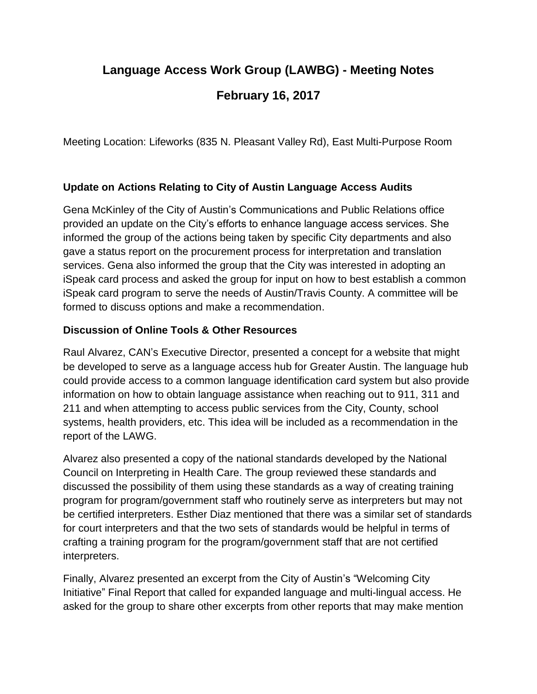# **Language Access Work Group (LAWBG) - Meeting Notes February 16, 2017**

Meeting Location: Lifeworks (835 N. Pleasant Valley Rd), East Multi-Purpose Room

#### **Update on Actions Relating to City of Austin Language Access Audits**

Gena McKinley of the City of Austin's Communications and Public Relations office provided an update on the City's efforts to enhance language access services. She informed the group of the actions being taken by specific City departments and also gave a status report on the procurement process for interpretation and translation services. Gena also informed the group that the City was interested in adopting an iSpeak card process and asked the group for input on how to best establish a common iSpeak card program to serve the needs of Austin/Travis County. A committee will be formed to discuss options and make a recommendation.

#### **Discussion of Online Tools & Other Resources**

Raul Alvarez, CAN's Executive Director, presented a concept for a website that might be developed to serve as a language access hub for Greater Austin. The language hub could provide access to a common language identification card system but also provide information on how to obtain language assistance when reaching out to 911, 311 and 211 and when attempting to access public services from the City, County, school systems, health providers, etc. This idea will be included as a recommendation in the report of the LAWG.

Alvarez also presented a copy of the national standards developed by the National Council on Interpreting in Health Care. The group reviewed these standards and discussed the possibility of them using these standards as a way of creating training program for program/government staff who routinely serve as interpreters but may not be certified interpreters. Esther Diaz mentioned that there was a similar set of standards for court interpreters and that the two sets of standards would be helpful in terms of crafting a training program for the program/government staff that are not certified interpreters.

Finally, Alvarez presented an excerpt from the City of Austin's "Welcoming City Initiative" Final Report that called for expanded language and multi-lingual access. He asked for the group to share other excerpts from other reports that may make mention